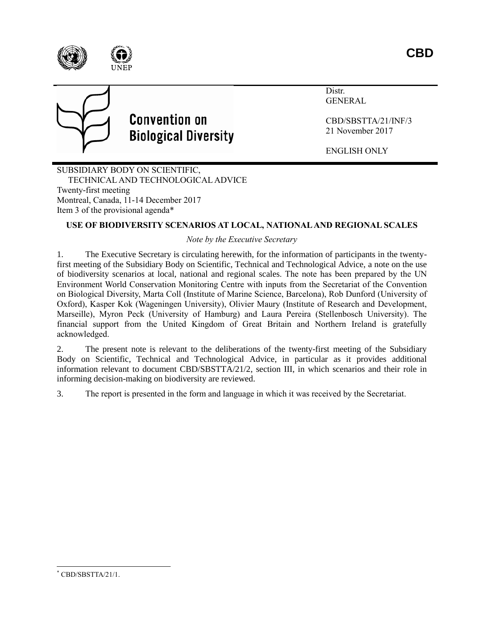



# **Convention on Biological Diversity**

Distr. GENERAL

CBD/SBSTTA/21/INF/3 21 November 2017

ENGLISH ONLY

SUBSIDIARY BODY ON SCIENTIFIC, TECHNICAL AND TECHNOLOGICAL ADVICE Twenty-first meeting Montreal, Canada, 11-14 December 2017 Item 3 of the provisional agenda\*

# **USE OF BIODIVERSITY SCENARIOS AT LOCAL, NATIONAL AND REGIONAL SCALES**

# *Note by the Executive Secretary*

1. The Executive Secretary is circulating herewith, for the information of participants in the twentyfirst meeting of the Subsidiary Body on Scientific, Technical and Technological Advice, a note on the use of biodiversity scenarios at local, national and regional scales. The note has been prepared by the UN Environment World Conservation Monitoring Centre with inputs from the Secretariat of the Convention on Biological Diversity, Marta Coll (Institute of Marine Science, Barcelona), Rob Dunford (University of Oxford), Kasper Kok (Wageningen University), Olivier Maury (Institute of Research and Development, Marseille), Myron Peck (University of Hamburg) and Laura Pereira (Stellenbosch University). The financial support from the United Kingdom of Great Britain and Northern Ireland is gratefully acknowledged.

2. The present note is relevant to the deliberations of the twenty-first meeting of the Subsidiary Body on Scientific, Technical and Technological Advice, in particular as it provides additional information relevant to document CBD/SBSTTA/21/2, section III, in which scenarios and their role in informing decision-making on biodiversity are reviewed.

3. The report is presented in the form and language in which it was received by the Secretariat.

 $\overline{a}$ 

CBD/SBSTTA/21/1.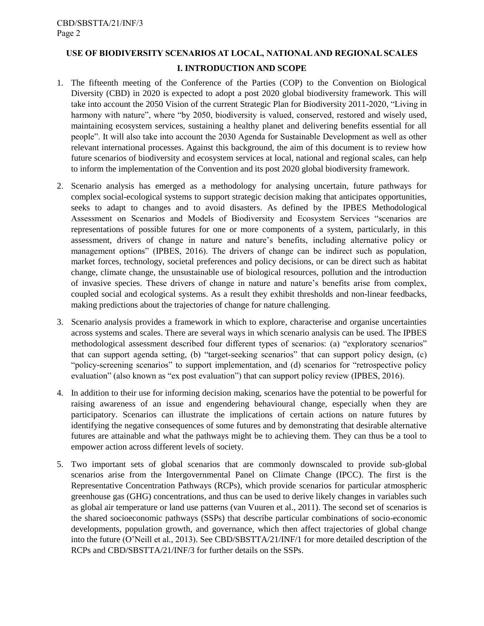# **USE OF BIODIVERSITY SCENARIOS AT LOCAL, NATIONAL AND REGIONAL SCALES I. INTRODUCTION AND SCOPE**

- 1. The fifteenth meeting of the Conference of the Parties (COP) to the Convention on Biological Diversity (CBD) in 2020 is expected to adopt a post 2020 global biodiversity framework. This will take into account the 2050 Vision of the current Strategic Plan for Biodiversity 2011-2020, "Living in harmony with nature", where "by 2050, biodiversity is valued, conserved, restored and wisely used, maintaining ecosystem services, sustaining a healthy planet and delivering benefits essential for all people". It will also take into account the 2030 Agenda for Sustainable Development as well as other relevant international processes. Against this background, the aim of this document is to review how future scenarios of biodiversity and ecosystem services at local, national and regional scales, can help to inform the implementation of the Convention and its post 2020 global biodiversity framework.
- 2. Scenario analysis has emerged as a methodology for analysing uncertain, future pathways for complex social-ecological systems to support strategic decision making that anticipates opportunities, seeks to adapt to changes and to avoid disasters. As defined by the IPBES Methodological Assessment on Scenarios and Models of Biodiversity and Ecosystem Services "scenarios are representations of possible futures for one or more components of a system, particularly, in this assessment, drivers of change in nature and nature's benefits, including alternative policy or management options" (IPBES, 2016). The drivers of change can be indirect such as population, market forces, technology, societal preferences and policy decisions, or can be direct such as habitat change, climate change, the unsustainable use of biological resources, pollution and the introduction of invasive species. These drivers of change in nature and nature's benefits arise from complex, coupled social and ecological systems. As a result they exhibit thresholds and non-linear feedbacks, making predictions about the trajectories of change for nature challenging.
- 3. Scenario analysis provides a framework in which to explore, characterise and organise uncertainties across systems and scales. There are several ways in which scenario analysis can be used. The IPBES methodological assessment described four different types of scenarios: (a) "exploratory scenarios" that can support agenda setting, (b) "target-seeking scenarios" that can support policy design, (c) "policy-screening scenarios" to support implementation, and (d) scenarios for "retrospective policy evaluation" (also known as "ex post evaluation") that can support policy review (IPBES, 2016).
- 4. In addition to their use for informing decision making, scenarios have the potential to be powerful for raising awareness of an issue and engendering behavioural change, especially when they are participatory. Scenarios can illustrate the implications of certain actions on nature futures by identifying the negative consequences of some futures and by demonstrating that desirable alternative futures are attainable and what the pathways might be to achieving them. They can thus be a tool to empower action across different levels of society.
- 5. Two important sets of global scenarios that are commonly downscaled to provide sub-global scenarios arise from the Intergovernmental Panel on Climate Change (IPCC). The first is the Representative Concentration Pathways (RCPs), which provide scenarios for particular atmospheric greenhouse gas (GHG) concentrations, and thus can be used to derive likely changes in variables such as global air temperature or land use patterns (van Vuuren et al., 2011). The second set of scenarios is the shared socioeconomic pathways (SSPs) that describe particular combinations of socio-economic developments, population growth, and governance, which then affect trajectories of global change into the future (O'Neill et al., 2013). See CBD/SBSTTA/21/INF/1 for more detailed description of the RCPs and CBD/SBSTTA/21/INF/3 for further details on the SSPs.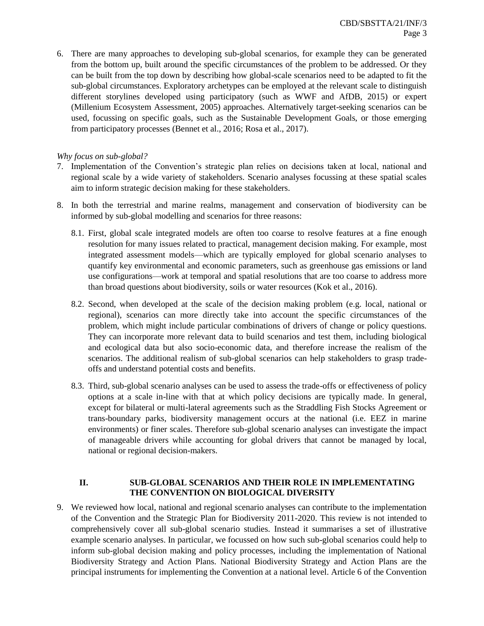6. There are many approaches to developing sub-global scenarios, for example they can be generated from the bottom up, built around the specific circumstances of the problem to be addressed. Or they can be built from the top down by describing how global-scale scenarios need to be adapted to fit the sub-global circumstances. Exploratory archetypes can be employed at the relevant scale to distinguish different storylines developed using participatory (such as WWF and AfDB, 2015) or expert (Millenium Ecosystem Assessment, 2005) approaches. Alternatively target-seeking scenarios can be used, focussing on specific goals, such as the Sustainable Development Goals, or those emerging from participatory processes (Bennet et al., 2016; Rosa et al., 2017).

# *Why focus on sub-global?*

- 7. Implementation of the Convention's strategic plan relies on decisions taken at local, national and regional scale by a wide variety of stakeholders. Scenario analyses focussing at these spatial scales aim to inform strategic decision making for these stakeholders.
- 8. In both the terrestrial and marine realms, management and conservation of biodiversity can be informed by sub-global modelling and scenarios for three reasons:
	- 8.1. First, global scale integrated models are often too coarse to resolve features at a fine enough resolution for many issues related to practical, management decision making. For example, most integrated assessment models—which are typically employed for global scenario analyses to quantify key environmental and economic parameters, such as greenhouse gas emissions or land use configurations—work at temporal and spatial resolutions that are too coarse to address more than broad questions about biodiversity, soils or water resources (Kok et al., 2016).
	- 8.2. Second, when developed at the scale of the decision making problem (e.g. local, national or regional), scenarios can more directly take into account the specific circumstances of the problem, which might include particular combinations of drivers of change or policy questions. They can incorporate more relevant data to build scenarios and test them, including biological and ecological data but also socio-economic data, and therefore increase the realism of the scenarios. The additional realism of sub-global scenarios can help stakeholders to grasp tradeoffs and understand potential costs and benefits.
	- 8.3. Third, sub-global scenario analyses can be used to assess the trade-offs or effectiveness of policy options at a scale in-line with that at which policy decisions are typically made. In general, except for bilateral or multi-lateral agreements such as the Straddling Fish Stocks Agreement or trans-boundary parks, biodiversity management occurs at the national (i.e. EEZ in marine environments) or finer scales. Therefore sub-global scenario analyses can investigate the impact of manageable drivers while accounting for global drivers that cannot be managed by local, national or regional decision-makers.

#### **II. SUB-GLOBAL SCENARIOS AND THEIR ROLE IN IMPLEMENTATING THE CONVENTION ON BIOLOGICAL DIVERSITY**

9. We reviewed how local, national and regional scenario analyses can contribute to the implementation of the Convention and the Strategic Plan for Biodiversity 2011-2020. This review is not intended to comprehensively cover all sub-global scenario studies. Instead it summarises a set of illustrative example scenario analyses. In particular, we focussed on how such sub-global scenarios could help to inform sub-global decision making and policy processes, including the implementation of National Biodiversity Strategy and Action Plans. National Biodiversity Strategy and Action Plans are the principal instruments for implementing the Convention at a national level. Article 6 of the Convention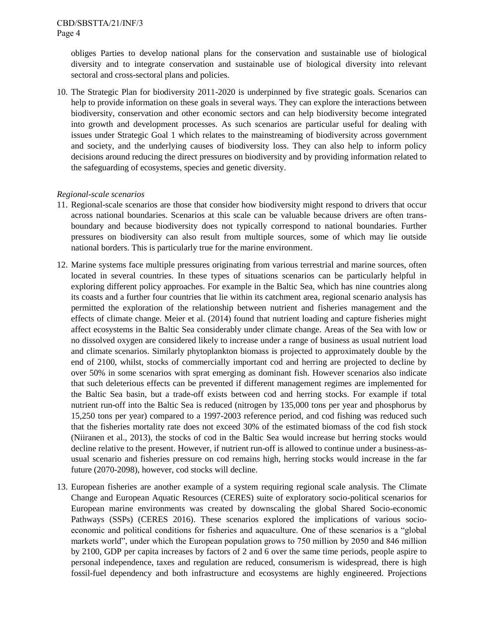obliges Parties to develop national plans for the conservation and sustainable use of biological diversity and to integrate conservation and sustainable use of biological diversity into relevant sectoral and cross-sectoral plans and policies.

10. The Strategic Plan for biodiversity 2011-2020 is underpinned by five strategic goals. Scenarios can help to provide information on these goals in several ways. They can explore the interactions between biodiversity, conservation and other economic sectors and can help biodiversity become integrated into growth and development processes. As such scenarios are particular useful for dealing with issues under Strategic Goal 1 which relates to the mainstreaming of biodiversity across government and society, and the underlying causes of biodiversity loss. They can also help to inform policy decisions around reducing the direct pressures on biodiversity and by providing information related to the safeguarding of ecosystems, species and genetic diversity.

#### *Regional-scale scenarios*

- 11. Regional-scale scenarios are those that consider how biodiversity might respond to drivers that occur across national boundaries. Scenarios at this scale can be valuable because drivers are often transboundary and because biodiversity does not typically correspond to national boundaries. Further pressures on biodiversity can also result from multiple sources, some of which may lie outside national borders. This is particularly true for the marine environment.
- 12. Marine systems face multiple pressures originating from various terrestrial and marine sources, often located in several countries. In these types of situations scenarios can be particularly helpful in exploring different policy approaches. For example in the Baltic Sea, which has nine countries along its coasts and a further four countries that lie within its catchment area, regional scenario analysis has permitted the exploration of the relationship between nutrient and fisheries management and the effects of climate change. Meier et al. (2014) found that nutrient loading and capture fisheries might affect ecosystems in the Baltic Sea considerably under climate change. Areas of the Sea with low or no dissolved oxygen are considered likely to increase under a range of business as usual nutrient load and climate scenarios. Similarly phytoplankton biomass is projected to approximately double by the end of 2100, whilst, stocks of commercially important cod and herring are projected to decline by over 50% in some scenarios with sprat emerging as dominant fish. However scenarios also indicate that such deleterious effects can be prevented if different management regimes are implemented for the Baltic Sea basin, but a trade-off exists between cod and herring stocks. For example if total nutrient run-off into the Baltic Sea is reduced (nitrogen by 135,000 tons per year and phosphorus by 15,250 tons per year) compared to a 1997-2003 reference period, and cod fishing was reduced such that the fisheries mortality rate does not exceed 30% of the estimated biomass of the cod fish stock (Niiranen et al., 2013), the stocks of cod in the Baltic Sea would increase but herring stocks would decline relative to the present. However, if nutrient run-off is allowed to continue under a business-asusual scenario and fisheries pressure on cod remains high, herring stocks would increase in the far future (2070-2098), however, cod stocks will decline.
- 13. European fisheries are another example of a system requiring regional scale analysis. The Climate Change and European Aquatic Resources (CERES) suite of exploratory socio-political scenarios for European marine environments was created by downscaling the global Shared Socio-economic Pathways (SSPs) (CERES 2016). These scenarios explored the implications of various socioeconomic and political conditions for fisheries and aquaculture. One of these scenarios is a "global markets world", under which the European population grows to 750 million by 2050 and 846 million by 2100, GDP per capita increases by factors of 2 and 6 over the same time periods, people aspire to personal independence, taxes and regulation are reduced, consumerism is widespread, there is high fossil-fuel dependency and both infrastructure and ecosystems are highly engineered. Projections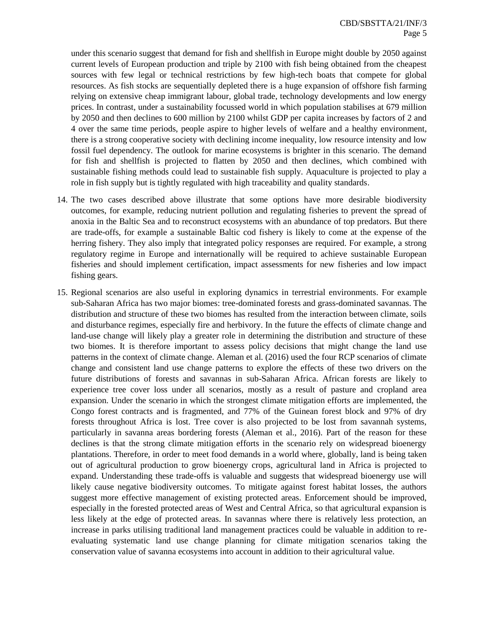under this scenario suggest that demand for fish and shellfish in Europe might double by 2050 against current levels of European production and triple by 2100 with fish being obtained from the cheapest sources with few legal or technical restrictions by few high-tech boats that compete for global resources. As fish stocks are sequentially depleted there is a huge expansion of offshore fish farming relying on extensive cheap immigrant labour, global trade, technology developments and low energy prices. In contrast, under a sustainability focussed world in which population stabilises at 679 million by 2050 and then declines to 600 million by 2100 whilst GDP per capita increases by factors of 2 and 4 over the same time periods, people aspire to higher levels of welfare and a healthy environment, there is a strong cooperative society with declining income inequality, low resource intensity and low fossil fuel dependency. The outlook for marine ecosystems is brighter in this scenario. The demand for fish and shellfish is projected to flatten by 2050 and then declines, which combined with sustainable fishing methods could lead to sustainable fish supply. Aquaculture is projected to play a role in fish supply but is tightly regulated with high traceability and quality standards.

- 14. The two cases described above illustrate that some options have more desirable biodiversity outcomes, for example, reducing nutrient pollution and regulating fisheries to prevent the spread of anoxia in the Baltic Sea and to reconstruct ecosystems with an abundance of top predators. But there are trade-offs, for example a sustainable Baltic cod fishery is likely to come at the expense of the herring fishery. They also imply that integrated policy responses are required. For example, a strong regulatory regime in Europe and internationally will be required to achieve sustainable European fisheries and should implement certification, impact assessments for new fisheries and low impact fishing gears.
- 15. Regional scenarios are also useful in exploring dynamics in terrestrial environments. For example sub-Saharan Africa has two major biomes: tree-dominated forests and grass-dominated savannas. The distribution and structure of these two biomes has resulted from the interaction between climate, soils and disturbance regimes, especially fire and herbivory. In the future the effects of climate change and land-use change will likely play a greater role in determining the distribution and structure of these two biomes. It is therefore important to assess policy decisions that might change the land use patterns in the context of climate change. Aleman et al. (2016) used the four RCP scenarios of climate change and consistent land use change patterns to explore the effects of these two drivers on the future distributions of forests and savannas in sub-Saharan Africa. African forests are likely to experience tree cover loss under all scenarios, mostly as a result of pasture and cropland area expansion. Under the scenario in which the strongest climate mitigation efforts are implemented, the Congo forest contracts and is fragmented, and 77% of the Guinean forest block and 97% of dry forests throughout Africa is lost. Tree cover is also projected to be lost from savannah systems, particularly in savanna areas bordering forests (Aleman et al., 2016). Part of the reason for these declines is that the strong climate mitigation efforts in the scenario rely on widespread bioenergy plantations. Therefore, in order to meet food demands in a world where, globally, land is being taken out of agricultural production to grow bioenergy crops, agricultural land in Africa is projected to expand. Understanding these trade-offs is valuable and suggests that widespread bioenergy use will likely cause negative biodiversity outcomes. To mitigate against forest habitat losses, the authors suggest more effective management of existing protected areas. Enforcement should be improved, especially in the forested protected areas of West and Central Africa, so that agricultural expansion is less likely at the edge of protected areas. In savannas where there is relatively less protection, an increase in parks utilising traditional land management practices could be valuable in addition to reevaluating systematic land use change planning for climate mitigation scenarios taking the conservation value of savanna ecosystems into account in addition to their agricultural value.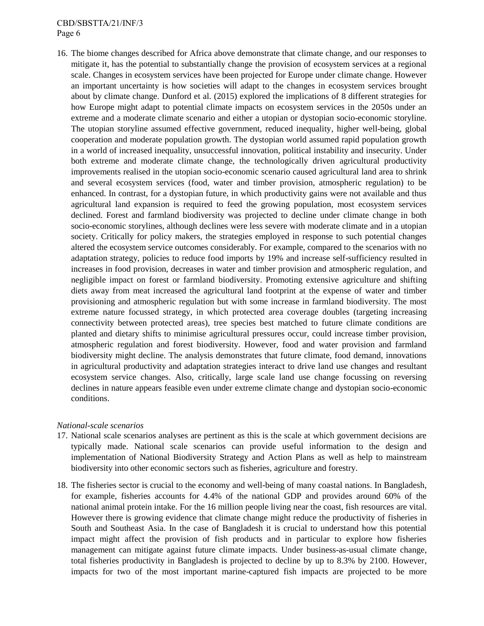#### CBD/SBSTTA/21/INF/3 Page 6

16. The biome changes described for Africa above demonstrate that climate change, and our responses to mitigate it, has the potential to substantially change the provision of ecosystem services at a regional scale. Changes in ecosystem services have been projected for Europe under climate change. However an important uncertainty is how societies will adapt to the changes in ecosystem services brought about by climate change. Dunford et al. (2015) explored the implications of 8 different strategies for how Europe might adapt to potential climate impacts on ecosystem services in the 2050s under an extreme and a moderate climate scenario and either a utopian or dystopian socio-economic storyline. The utopian storyline assumed effective government, reduced inequality, higher well-being, global cooperation and moderate population growth. The dystopian world assumed rapid population growth in a world of increased inequality, unsuccessful innovation, political instability and insecurity. Under both extreme and moderate climate change, the technologically driven agricultural productivity improvements realised in the utopian socio-economic scenario caused agricultural land area to shrink and several ecosystem services (food, water and timber provision, atmospheric regulation) to be enhanced. In contrast, for a dystopian future, in which productivity gains were not available and thus agricultural land expansion is required to feed the growing population, most ecosystem services declined. Forest and farmland biodiversity was projected to decline under climate change in both socio-economic storylines, although declines were less severe with moderate climate and in a utopian society. Critically for policy makers, the strategies employed in response to such potential changes altered the ecosystem service outcomes considerably. For example, compared to the scenarios with no adaptation strategy, policies to reduce food imports by 19% and increase self-sufficiency resulted in increases in food provision, decreases in water and timber provision and atmospheric regulation, and negligible impact on forest or farmland biodiversity. Promoting extensive agriculture and shifting diets away from meat increased the agricultural land footprint at the expense of water and timber provisioning and atmospheric regulation but with some increase in farmland biodiversity. The most extreme nature focussed strategy, in which protected area coverage doubles (targeting increasing connectivity between protected areas), tree species best matched to future climate conditions are planted and dietary shifts to minimise agricultural pressures occur, could increase timber provision, atmospheric regulation and forest biodiversity. However, food and water provision and farmland biodiversity might decline. The analysis demonstrates that future climate, food demand, innovations in agricultural productivity and adaptation strategies interact to drive land use changes and resultant ecosystem service changes. Also, critically, large scale land use change focussing on reversing declines in nature appears feasible even under extreme climate change and dystopian socio-economic conditions.

#### *National-scale scenarios*

- 17. National scale scenarios analyses are pertinent as this is the scale at which government decisions are typically made. National scale scenarios can provide useful information to the design and implementation of National Biodiversity Strategy and Action Plans as well as help to mainstream biodiversity into other economic sectors such as fisheries, agriculture and forestry.
- 18. The fisheries sector is crucial to the economy and well-being of many coastal nations. In Bangladesh, for example, fisheries accounts for 4.4% of the national GDP and provides around 60% of the national animal protein intake. For the 16 million people living near the coast, fish resources are vital. However there is growing evidence that climate change might reduce the productivity of fisheries in South and Southeast Asia. In the case of Bangladesh it is crucial to understand how this potential impact might affect the provision of fish products and in particular to explore how fisheries management can mitigate against future climate impacts. Under business-as-usual climate change, total fisheries productivity in Bangladesh is projected to decline by up to 8.3% by 2100. However, impacts for two of the most important marine-captured fish impacts are projected to be more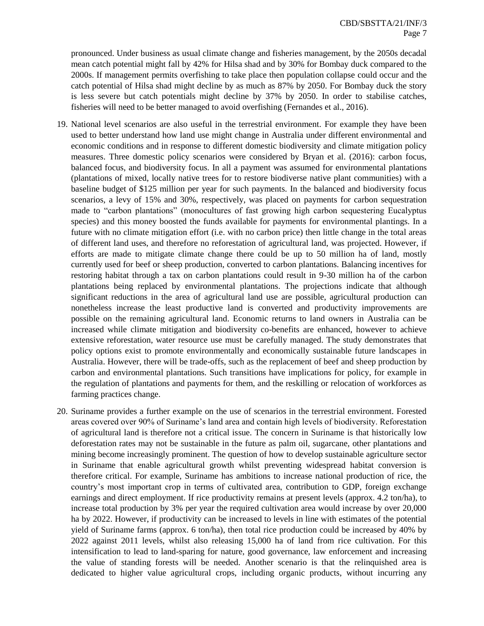pronounced. Under business as usual climate change and fisheries management, by the 2050s decadal mean catch potential might fall by 42% for Hilsa shad and by 30% for Bombay duck compared to the 2000s. If management permits overfishing to take place then population collapse could occur and the catch potential of Hilsa shad might decline by as much as 87% by 2050. For Bombay duck the story is less severe but catch potentials might decline by 37% by 2050. In order to stabilise catches, fisheries will need to be better managed to avoid overfishing (Fernandes et al., 2016).

- 19. National level scenarios are also useful in the terrestrial environment. For example they have been used to better understand how land use might change in Australia under different environmental and economic conditions and in response to different domestic biodiversity and climate mitigation policy measures. Three domestic policy scenarios were considered by Bryan et al. (2016): carbon focus, balanced focus, and biodiversity focus. In all a payment was assumed for environmental plantations (plantations of mixed, locally native trees for to restore biodiverse native plant communities) with a baseline budget of \$125 million per year for such payments. In the balanced and biodiversity focus scenarios, a levy of 15% and 30%, respectively, was placed on payments for carbon sequestration made to "carbon plantations" (monocultures of fast growing high carbon sequestering Eucalyptus species) and this money boosted the funds available for payments for environmental plantings. In a future with no climate mitigation effort (i.e. with no carbon price) then little change in the total areas of different land uses, and therefore no reforestation of agricultural land, was projected. However, if efforts are made to mitigate climate change there could be up to 50 million ha of land, mostly currently used for beef or sheep production, converted to carbon plantations. Balancing incentives for restoring habitat through a tax on carbon plantations could result in 9-30 million ha of the carbon plantations being replaced by environmental plantations. The projections indicate that although significant reductions in the area of agricultural land use are possible, agricultural production can nonetheless increase the least productive land is converted and productivity improvements are possible on the remaining agricultural land. Economic returns to land owners in Australia can be increased while climate mitigation and biodiversity co-benefits are enhanced, however to achieve extensive reforestation, water resource use must be carefully managed. The study demonstrates that policy options exist to promote environmentally and economically sustainable future landscapes in Australia. However, there will be trade-offs, such as the replacement of beef and sheep production by carbon and environmental plantations. Such transitions have implications for policy, for example in the regulation of plantations and payments for them, and the reskilling or relocation of workforces as farming practices change.
- 20. Suriname provides a further example on the use of scenarios in the terrestrial environment. Forested areas covered over 90% of Suriname's land area and contain high levels of biodiversity. Reforestation of agricultural land is therefore not a critical issue. The concern in Suriname is that historically low deforestation rates may not be sustainable in the future as palm oil, sugarcane, other plantations and mining become increasingly prominent. The question of how to develop sustainable agriculture sector in Suriname that enable agricultural growth whilst preventing widespread habitat conversion is therefore critical. For example, Suriname has ambitions to increase national production of rice, the country's most important crop in terms of cultivated area, contribution to GDP, foreign exchange earnings and direct employment. If rice productivity remains at present levels (approx. 4.2 ton/ha), to increase total production by 3% per year the required cultivation area would increase by over 20,000 ha by 2022. However, if productivity can be increased to levels in line with estimates of the potential yield of Suriname farms (approx. 6 ton/ha), then total rice production could be increased by 40% by 2022 against 2011 levels, whilst also releasing 15,000 ha of land from rice cultivation. For this intensification to lead to land-sparing for nature, good governance, law enforcement and increasing the value of standing forests will be needed. Another scenario is that the relinquished area is dedicated to higher value agricultural crops, including organic products, without incurring any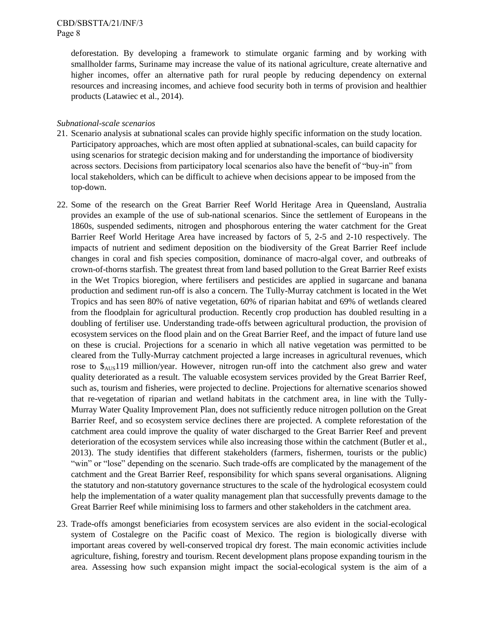deforestation. By developing a framework to stimulate organic farming and by working with smallholder farms, Suriname may increase the value of its national agriculture, create alternative and higher incomes, offer an alternative path for rural people by reducing dependency on external resources and increasing incomes, and achieve food security both in terms of provision and healthier products (Latawiec et al., 2014).

#### *Subnational-scale scenarios*

- 21. Scenario analysis at subnational scales can provide highly specific information on the study location. Participatory approaches, which are most often applied at subnational-scales, can build capacity for using scenarios for strategic decision making and for understanding the importance of biodiversity across sectors. Decisions from participatory local scenarios also have the benefit of "buy-in" from local stakeholders, which can be difficult to achieve when decisions appear to be imposed from the top-down.
- 22. Some of the research on the Great Barrier Reef World Heritage Area in Queensland, Australia provides an example of the use of sub-national scenarios. Since the settlement of Europeans in the 1860s, suspended sediments, nitrogen and phosphorous entering the water catchment for the Great Barrier Reef World Heritage Area have increased by factors of 5, 2-5 and 2-10 respectively. The impacts of nutrient and sediment deposition on the biodiversity of the Great Barrier Reef include changes in coral and fish species composition, dominance of macro-algal cover, and outbreaks of crown-of-thorns starfish. The greatest threat from land based pollution to the Great Barrier Reef exists in the Wet Tropics bioregion, where fertilisers and pesticides are applied in sugarcane and banana production and sediment run-off is also a concern. The Tully-Murray catchment is located in the Wet Tropics and has seen 80% of native vegetation, 60% of riparian habitat and 69% of wetlands cleared from the floodplain for agricultural production. Recently crop production has doubled resulting in a doubling of fertiliser use. Understanding trade-offs between agricultural production, the provision of ecosystem services on the flood plain and on the Great Barrier Reef, and the impact of future land use on these is crucial. Projections for a scenario in which all native vegetation was permitted to be cleared from the Tully-Murray catchment projected a large increases in agricultural revenues, which rose to  $\frac{10}{2}$  million/year. However, nitrogen run-off into the catchment also grew and water quality deteriorated as a result. The valuable ecosystem services provided by the Great Barrier Reef, such as, tourism and fisheries, were projected to decline. Projections for alternative scenarios showed that re-vegetation of riparian and wetland habitats in the catchment area, in line with the Tully-Murray Water Quality Improvement Plan, does not sufficiently reduce nitrogen pollution on the Great Barrier Reef, and so ecosystem service declines there are projected. A complete reforestation of the catchment area could improve the quality of water discharged to the Great Barrier Reef and prevent deterioration of the ecosystem services while also increasing those within the catchment (Butler et al., 2013). The study identifies that different stakeholders (farmers, fishermen, tourists or the public) "win" or "lose" depending on the scenario. Such trade-offs are complicated by the management of the catchment and the Great Barrier Reef, responsibility for which spans several organisations. Aligning the statutory and non-statutory governance structures to the scale of the hydrological ecosystem could help the implementation of a water quality management plan that successfully prevents damage to the Great Barrier Reef while minimising loss to farmers and other stakeholders in the catchment area.
- 23. Trade-offs amongst beneficiaries from ecosystem services are also evident in the social-ecological system of Costalegre on the Pacific coast of Mexico. The region is biologically diverse with important areas covered by well-conserved tropical dry forest. The main economic activities include agriculture, fishing, forestry and tourism. Recent development plans propose expanding tourism in the area. Assessing how such expansion might impact the social-ecological system is the aim of a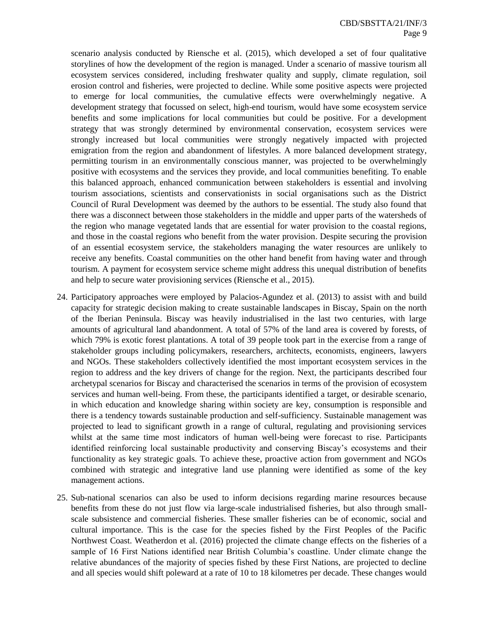scenario analysis conducted by Riensche et al. (2015), which developed a set of four qualitative storylines of how the development of the region is managed. Under a scenario of massive tourism all ecosystem services considered, including freshwater quality and supply, climate regulation, soil erosion control and fisheries, were projected to decline. While some positive aspects were projected to emerge for local communities, the cumulative effects were overwhelmingly negative. A development strategy that focussed on select, high-end tourism, would have some ecosystem service benefits and some implications for local communities but could be positive. For a development strategy that was strongly determined by environmental conservation, ecosystem services were strongly increased but local communities were strongly negatively impacted with projected emigration from the region and abandonment of lifestyles. A more balanced development strategy, permitting tourism in an environmentally conscious manner, was projected to be overwhelmingly positive with ecosystems and the services they provide, and local communities benefiting. To enable this balanced approach, enhanced communication between stakeholders is essential and involving tourism associations, scientists and conservationists in social organisations such as the District Council of Rural Development was deemed by the authors to be essential. The study also found that there was a disconnect between those stakeholders in the middle and upper parts of the watersheds of the region who manage vegetated lands that are essential for water provision to the coastal regions, and those in the coastal regions who benefit from the water provision. Despite securing the provision of an essential ecosystem service, the stakeholders managing the water resources are unlikely to receive any benefits. Coastal communities on the other hand benefit from having water and through tourism. A payment for ecosystem service scheme might address this unequal distribution of benefits and help to secure water provisioning services (Riensche et al., 2015).

- 24. Participatory approaches were employed by Palacios-Agundez et al. (2013) to assist with and build capacity for strategic decision making to create sustainable landscapes in Biscay, Spain on the north of the Iberian Peninsula. Biscay was heavily industrialised in the last two centuries, with large amounts of agricultural land abandonment. A total of 57% of the land area is covered by forests, of which 79% is exotic forest plantations. A total of 39 people took part in the exercise from a range of stakeholder groups including policymakers, researchers, architects, economists, engineers, lawyers and NGOs. These stakeholders collectively identified the most important ecosystem services in the region to address and the key drivers of change for the region. Next, the participants described four archetypal scenarios for Biscay and characterised the scenarios in terms of the provision of ecosystem services and human well-being. From these, the participants identified a target, or desirable scenario, in which education and knowledge sharing within society are key, consumption is responsible and there is a tendency towards sustainable production and self-sufficiency. Sustainable management was projected to lead to significant growth in a range of cultural, regulating and provisioning services whilst at the same time most indicators of human well-being were forecast to rise. Participants identified reinforcing local sustainable productivity and conserving Biscay's ecosystems and their functionality as key strategic goals. To achieve these, proactive action from government and NGOs combined with strategic and integrative land use planning were identified as some of the key management actions.
- 25. Sub-national scenarios can also be used to inform decisions regarding marine resources because benefits from these do not just flow via large-scale industrialised fisheries, but also through smallscale subsistence and commercial fisheries. These smaller fisheries can be of economic, social and cultural importance. This is the case for the species fished by the First Peoples of the Pacific Northwest Coast. Weatherdon et al. (2016) projected the climate change effects on the fisheries of a sample of 16 First Nations identified near British Columbia's coastline. Under climate change the relative abundances of the majority of species fished by these First Nations, are projected to decline and all species would shift poleward at a rate of 10 to 18 kilometres per decade. These changes would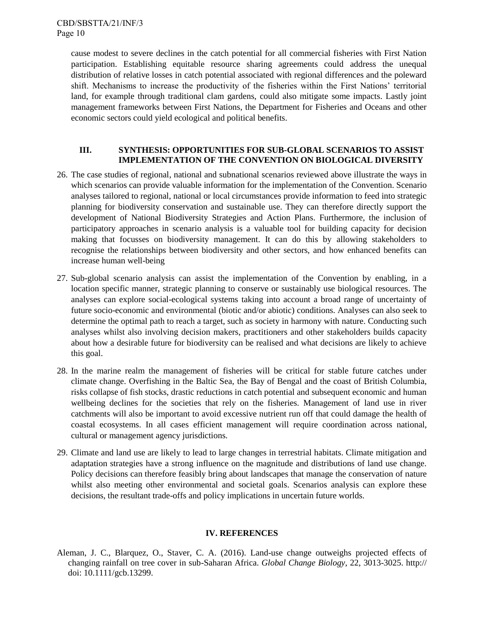cause modest to severe declines in the catch potential for all commercial fisheries with First Nation participation. Establishing equitable resource sharing agreements could address the unequal distribution of relative losses in catch potential associated with regional differences and the poleward shift. Mechanisms to increase the productivity of the fisheries within the First Nations' territorial land, for example through traditional clam gardens, could also mitigate some impacts. Lastly joint management frameworks between First Nations, the Department for Fisheries and Oceans and other economic sectors could yield ecological and political benefits.

# **III. SYNTHESIS: OPPORTUNITIES FOR SUB-GLOBAL SCENARIOS TO ASSIST IMPLEMENTATION OF THE CONVENTION ON BIOLOGICAL DIVERSITY**

- 26. The case studies of regional, national and subnational scenarios reviewed above illustrate the ways in which scenarios can provide valuable information for the implementation of the Convention. Scenario analyses tailored to regional, national or local circumstances provide information to feed into strategic planning for biodiversity conservation and sustainable use. They can therefore directly support the development of National Biodiversity Strategies and Action Plans. Furthermore, the inclusion of participatory approaches in scenario analysis is a valuable tool for building capacity for decision making that focusses on biodiversity management. It can do this by allowing stakeholders to recognise the relationships between biodiversity and other sectors, and how enhanced benefits can increase human well-being
- 27. Sub-global scenario analysis can assist the implementation of the Convention by enabling, in a location specific manner, strategic planning to conserve or sustainably use biological resources. The analyses can explore social-ecological systems taking into account a broad range of uncertainty of future socio-economic and environmental (biotic and/or abiotic) conditions. Analyses can also seek to determine the optimal path to reach a target, such as society in harmony with nature. Conducting such analyses whilst also involving decision makers, practitioners and other stakeholders builds capacity about how a desirable future for biodiversity can be realised and what decisions are likely to achieve this goal.
- 28. In the marine realm the management of fisheries will be critical for stable future catches under climate change. Overfishing in the Baltic Sea, the Bay of Bengal and the coast of British Columbia, risks collapse of fish stocks, drastic reductions in catch potential and subsequent economic and human wellbeing declines for the societies that rely on the fisheries. Management of land use in river catchments will also be important to avoid excessive nutrient run off that could damage the health of coastal ecosystems. In all cases efficient management will require coordination across national, cultural or management agency jurisdictions.
- 29. Climate and land use are likely to lead to large changes in terrestrial habitats. Climate mitigation and adaptation strategies have a strong influence on the magnitude and distributions of land use change. Policy decisions can therefore feasibly bring about landscapes that manage the conservation of nature whilst also meeting other environmental and societal goals. Scenarios analysis can explore these decisions, the resultant trade-offs and policy implications in uncertain future worlds.

#### **IV. REFERENCES**

Aleman, J. C., Blarquez, O., Staver, C. A. (2016). Land-use change outweighs projected effects of changing rainfall on tree cover in sub-Saharan Africa. *Global Change Biology*, 22, 3013-3025. http:// doi: 10.1111/gcb.13299.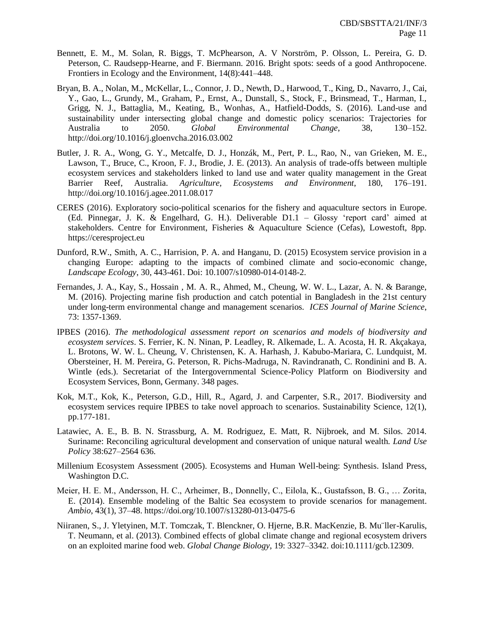- Bennett, E. M., M. Solan, R. Biggs, T. McPhearson, A. V Norström, P. Olsson, L. Pereira, G. D. Peterson, C. Raudsepp-Hearne, and F. Biermann. 2016. Bright spots: seeds of a good Anthropocene. Frontiers in Ecology and the Environment, 14(8):441–448.
- Bryan, B. A., Nolan, M., McKellar, L., Connor, J. D., Newth, D., Harwood, T., King, D., Navarro, J., Cai, Y., Gao, L., Grundy, M., Graham, P., Ernst, A., Dunstall, S., Stock, F., Brinsmead, T., Harman, I., Grigg, N. J., Battaglia, M., Keating, B., Wonhas, A., Hatfield-Dodds, S. (2016). Land-use and sustainability under intersecting global change and domestic policy scenarios: Trajectories for Australia to 2050. *Global Environmental Change*, 38, 130–152. http://doi.org/10.1016/j.gloenvcha.2016.03.002
- Butler, J. R. A., Wong, G. Y., Metcalfe, D. J., Honzák, M., Pert, P. L., Rao, N., van Grieken, M. E., Lawson, T., Bruce, C., Kroon, F. J., Brodie, J. E. (2013). An analysis of trade-offs between multiple ecosystem services and stakeholders linked to land use and water quality management in the Great Barrier Reef, Australia. *Agriculture, Ecosystems and Environment*, 180, 176–191. http://doi.org/10.1016/j.agee.2011.08.017
- CERES (2016). Exploratory socio-political scenarios for the fishery and aquaculture sectors in Europe. (Ed. Pinnegar, J. K. & Engelhard, G. H.). Deliverable D1.1 – Glossy 'report card' aimed at stakeholders. Centre for Environment, Fisheries & Aquaculture Science (Cefas), Lowestoft, 8pp. https://ceresproject.eu
- Dunford, R.W., Smith, A. C., Harrision, P. A. and Hanganu, D. (2015) Ecosystem service provision in a changing Europe: adapting to the impacts of combined climate and socio-economic change, *Landscape Ecology*, 30, 443-461. Doi: 10.1007/s10980-014-0148-2.
- Fernandes, J. A., Kay, S., Hossain , M. A. R., Ahmed, M., Cheung, W. W. L., Lazar, A. N. & Barange, M. (2016). Projecting marine fish production and catch potential in Bangladesh in the 21st century under long-term environmental change and management scenarios. *ICES Journal of Marine Science*, 73: 1357-1369.
- IPBES (2016). *The methodological assessment report on scenarios and models of biodiversity and ecosystem services*. S. Ferrier, K. N. Ninan, P. Leadley, R. Alkemade, L. A. Acosta, H. R. Akçakaya, L. Brotons, W. W. L. Cheung, V. Christensen, K. A. Harhash, J. Kabubo-Mariara, C. Lundquist, M. Obersteiner, H. M. Pereira, G. Peterson, R. Pichs-Madruga, N. Ravindranath, C. Rondinini and B. A. Wintle (eds.). Secretariat of the Intergovernmental Science-Policy Platform on Biodiversity and Ecosystem Services, Bonn, Germany. 348 pages.
- Kok, M.T., Kok, K., Peterson, G.D., Hill, R., Agard, J. and Carpenter, S.R., 2017. Biodiversity and ecosystem services require IPBES to take novel approach to scenarios. Sustainability Science, 12(1), pp.177-181.
- Latawiec, A. E., B. B. N. Strassburg, A. M. Rodriguez, E. Matt, R. Nijbroek, and M. Silos. 2014. Suriname: Reconciling agricultural development and conservation of unique natural wealth. *Land Use Policy* 38:627–2564 636.
- Millenium Ecosystem Assessment (2005). Ecosystems and Human Well-being: Synthesis. Island Press, Washington D.C.
- Meier, H. E. M., Andersson, H. C., Arheimer, B., Donnelly, C., Eilola, K., Gustafsson, B. G., … Zorita, E. (2014). Ensemble modeling of the Baltic Sea ecosystem to provide scenarios for management. *Ambio*, 43(1), 37–48. https://doi.org/10.1007/s13280-013-0475-6
- Niiranen, S., J. Yletyinen, M.T. Tomczak, T. Blenckner, O. Hjerne, B.R. MacKenzie, B. Mu¨ller-Karulis, T. Neumann, et al. (2013). Combined effects of global climate change and regional ecosystem drivers on an exploited marine food web. *Global Change Biology*, 19: 3327–3342. doi:10.1111/gcb.12309.